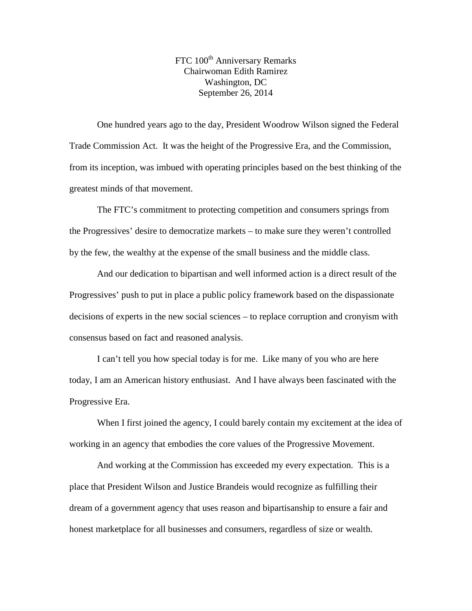FTC 100<sup>th</sup> Anniversary Remarks Chairwoman Edith Ramirez Washington, DC September 26, 2014

One hundred years ago to the day, President Woodrow Wilson signed the Federal Trade Commission Act. It was the height of the Progressive Era, and the Commission, from its inception, was imbued with operating principles based on the best thinking of the greatest minds of that movement.

The FTC's commitment to protecting competition and consumers springs from the Progressives' desire to democratize markets – to make sure they weren't controlled by the few, the wealthy at the expense of the small business and the middle class.

And our dedication to bipartisan and well informed action is a direct result of the Progressives' push to put in place a public policy framework based on the dispassionate decisions of experts in the new social sciences – to replace corruption and cronyism with consensus based on fact and reasoned analysis.

I can't tell you how special today is for me. Like many of you who are here today, I am an American history enthusiast. And I have always been fascinated with the Progressive Era.

When I first joined the agency, I could barely contain my excitement at the idea of working in an agency that embodies the core values of the Progressive Movement.

And working at the Commission has exceeded my every expectation. This is a place that President Wilson and Justice Brandeis would recognize as fulfilling their dream of a government agency that uses reason and bipartisanship to ensure a fair and honest marketplace for all businesses and consumers, regardless of size or wealth.